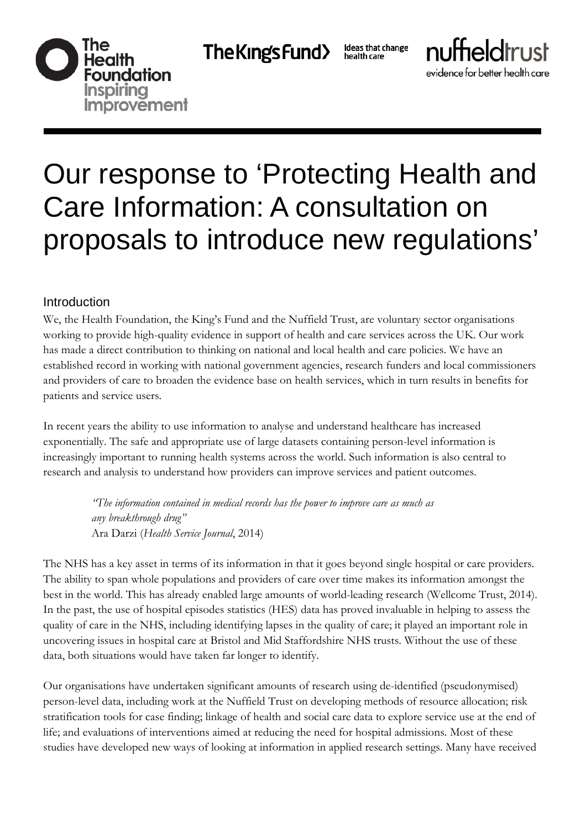```
The Kings Fund>
```
Ideas that change<br>health care



evidence for better health care

# Our response to 'Protecting Health and Care Information: A consultation on proposals to introduce new regulations'

### Introduction

We, the Health Foundation, the King's Fund and the Nuffield Trust, are voluntary sector organisations working to provide high-quality evidence in support of health and care services across the UK. Our work has made a direct contribution to thinking on national and local health and care policies. We have an established record in working with national government agencies, research funders and local commissioners and providers of care to broaden the evidence base on health services, which in turn results in benefits for patients and service users.

In recent years the ability to use information to analyse and understand healthcare has increased exponentially. The safe and appropriate use of large datasets containing person-level information is increasingly important to running health systems across the world. Such information is also central to research and analysis to understand how providers can improve services and patient outcomes.

> *"The information contained in medical records has the power to improve care as much as any breakthrough drug"*  Ara Darzi (*Health Service Journal*, 2014)

The NHS has a key asset in terms of its information in that it goes beyond single hospital or care providers. The ability to span whole populations and providers of care over time makes its information amongst the best in the world. This has already enabled large amounts of world-leading research (Wellcome Trust, 2014). In the past, the use of hospital episodes statistics (HES) data has proved invaluable in helping to assess the quality of care in the NHS, including identifying lapses in the quality of care; it played an important role in uncovering issues in hospital care at Bristol and Mid Staffordshire NHS trusts. Without the use of these data, both situations would have taken far longer to identify.

Our organisations have undertaken significant amounts of research using de-identified (pseudonymised) person-level data, including work at the Nuffield Trust on developing methods of resource allocation; risk stratification tools for case finding; linkage of health and social care data to explore service use at the end of life; and evaluations of interventions aimed at reducing the need for hospital admissions. Most of these studies have developed new ways of looking at information in applied research settings. Many have received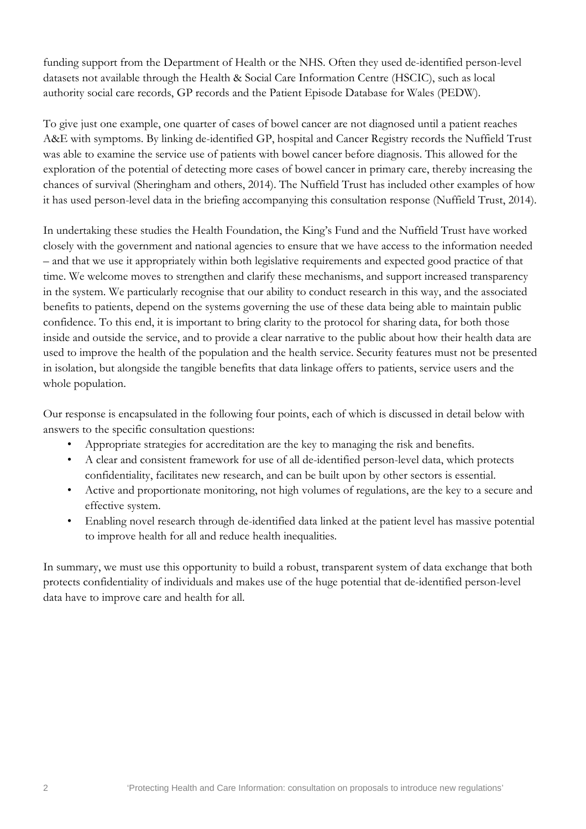funding support from the Department of Health or the NHS. Often they used de-identified person-level datasets not available through the Health & Social Care Information Centre (HSCIC), such as local authority social care records, GP records and the Patient Episode Database for Wales (PEDW).

To give just one example, one quarter of cases of bowel cancer are not diagnosed until a patient reaches A&E with symptoms. By linking de-identified GP, hospital and Cancer Registry records the Nuffield Trust was able to examine the service use of patients with bowel cancer before diagnosis. This allowed for the exploration of the potential of detecting more cases of bowel cancer in primary care, thereby increasing the chances of survival (Sheringham and others, 2014). The Nuffield Trust has included other examples of how it has used person-level data in the briefing accompanying this consultation response (Nuffield Trust, 2014).

In undertaking these studies the Health Foundation, the King's Fund and the Nuffield Trust have worked closely with the government and national agencies to ensure that we have access to the information needed – and that we use it appropriately within both legislative requirements and expected good practice of that time. We welcome moves to strengthen and clarify these mechanisms, and support increased transparency in the system. We particularly recognise that our ability to conduct research in this way, and the associated benefits to patients, depend on the systems governing the use of these data being able to maintain public confidence. To this end, it is important to bring clarity to the protocol for sharing data, for both those inside and outside the service, and to provide a clear narrative to the public about how their health data are used to improve the health of the population and the health service. Security features must not be presented in isolation, but alongside the tangible benefits that data linkage offers to patients, service users and the whole population.

Our response is encapsulated in the following four points, each of which is discussed in detail below with answers to the specific consultation questions:

- Appropriate strategies for accreditation are the key to managing the risk and benefits.
- A clear and consistent framework for use of all de-identified person-level data, which protects confidentiality, facilitates new research, and can be built upon by other sectors is essential.
- Active and proportionate monitoring, not high volumes of regulations, are the key to a secure and effective system.
- Enabling novel research through de-identified data linked at the patient level has massive potential to improve health for all and reduce health inequalities.

In summary, we must use this opportunity to build a robust, transparent system of data exchange that both protects confidentiality of individuals and makes use of the huge potential that de-identified person-level data have to improve care and health for all.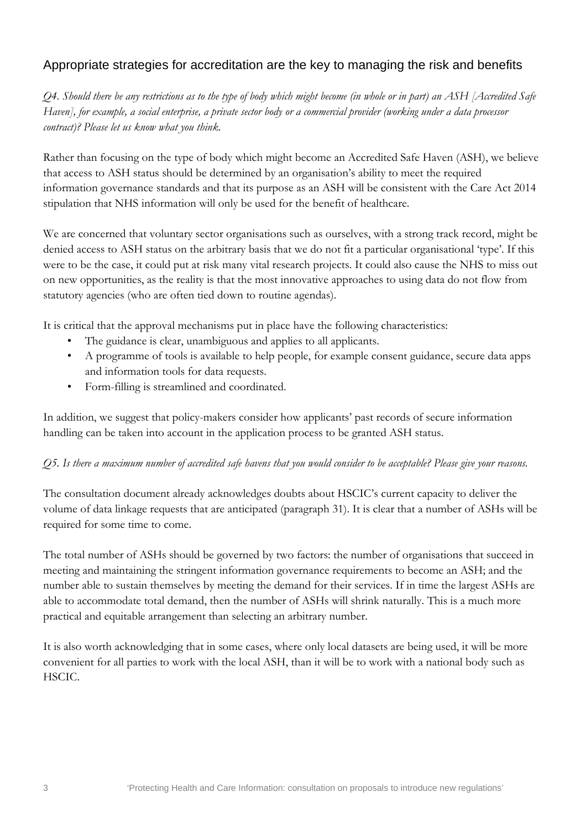## Appropriate strategies for accreditation are the key to managing the risk and benefits

*Q4. Should there be any restrictions as to the type of body which might become (in whole or in part) an ASH [Accredited Safe Haven], for example, a social enterprise, a private sector body or a commercial provider (working under a data processor contract)? Please let us know what you think.*

Rather than focusing on the type of body which might become an Accredited Safe Haven (ASH), we believe that access to ASH status should be determined by an organisation's ability to meet the required information governance standards and that its purpose as an ASH will be consistent with the Care Act 2014 stipulation that NHS information will only be used for the benefit of healthcare.

We are concerned that voluntary sector organisations such as ourselves, with a strong track record, might be denied access to ASH status on the arbitrary basis that we do not fit a particular organisational 'type'. If this were to be the case, it could put at risk many vital research projects. It could also cause the NHS to miss out on new opportunities, as the reality is that the most innovative approaches to using data do not flow from statutory agencies (who are often tied down to routine agendas).

It is critical that the approval mechanisms put in place have the following characteristics:

- The guidance is clear, unambiguous and applies to all applicants.
- A programme of tools is available to help people, for example consent guidance, secure data apps and information tools for data requests.
- Form-filling is streamlined and coordinated.

In addition, we suggest that policy-makers consider how applicants' past records of secure information handling can be taken into account in the application process to be granted ASH status.

#### *Q5. Is there a maximum number of accredited safe havens that you would consider to be acceptable? Please give your reasons.*

The consultation document already acknowledges doubts about HSCIC's current capacity to deliver the volume of data linkage requests that are anticipated (paragraph 31). It is clear that a number of ASHs will be required for some time to come.

The total number of ASHs should be governed by two factors: the number of organisations that succeed in meeting and maintaining the stringent information governance requirements to become an ASH; and the number able to sustain themselves by meeting the demand for their services. If in time the largest ASHs are able to accommodate total demand, then the number of ASHs will shrink naturally. This is a much more practical and equitable arrangement than selecting an arbitrary number.

It is also worth acknowledging that in some cases, where only local datasets are being used, it will be more convenient for all parties to work with the local ASH, than it will be to work with a national body such as HSCIC.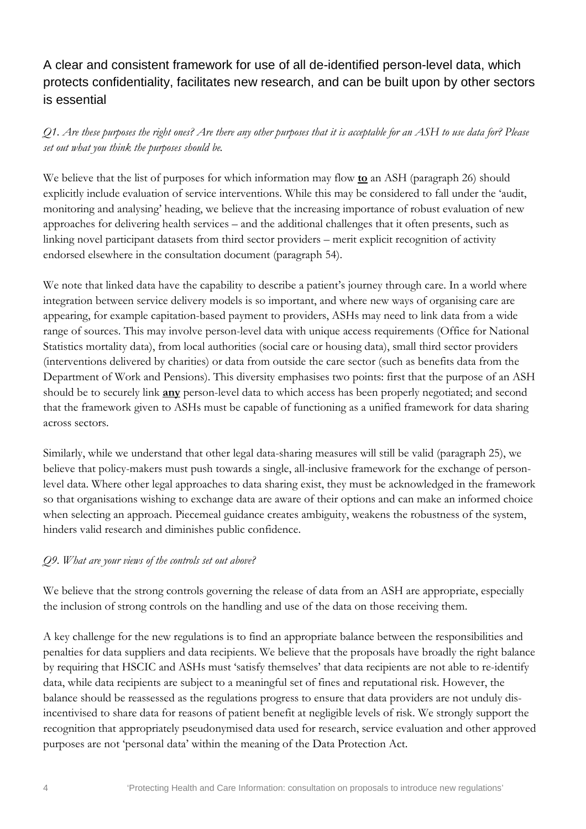## A clear and consistent framework for use of all de-identified person-level data, which protects confidentiality, facilitates new research, and can be built upon by other sectors is essential

*Q1. Are these purposes the right ones? Are there any other purposes that it is acceptable for an ASH to use data for? Please set out what you think the purposes should be.*

We believe that the list of purposes for which information may flow **to** an ASH (paragraph 26) should explicitly include evaluation of service interventions. While this may be considered to fall under the 'audit, monitoring and analysing' heading, we believe that the increasing importance of robust evaluation of new approaches for delivering health services – and the additional challenges that it often presents, such as linking novel participant datasets from third sector providers – merit explicit recognition of activity endorsed elsewhere in the consultation document (paragraph 54).

We note that linked data have the capability to describe a patient's journey through care. In a world where integration between service delivery models is so important, and where new ways of organising care are appearing, for example capitation-based payment to providers, ASHs may need to link data from a wide range of sources. This may involve person-level data with unique access requirements (Office for National Statistics mortality data), from local authorities (social care or housing data), small third sector providers (interventions delivered by charities) or data from outside the care sector (such as benefits data from the Department of Work and Pensions). This diversity emphasises two points: first that the purpose of an ASH should be to securely link **any** person-level data to which access has been properly negotiated; and second that the framework given to ASHs must be capable of functioning as a unified framework for data sharing across sectors.

Similarly, while we understand that other legal data-sharing measures will still be valid (paragraph 25), we believe that policy-makers must push towards a single, all-inclusive framework for the exchange of personlevel data. Where other legal approaches to data sharing exist, they must be acknowledged in the framework so that organisations wishing to exchange data are aware of their options and can make an informed choice when selecting an approach. Piecemeal guidance creates ambiguity, weakens the robustness of the system, hinders valid research and diminishes public confidence.

#### *Q9. What are your views of the controls set out above?*

We believe that the strong controls governing the release of data from an ASH are appropriate, especially the inclusion of strong controls on the handling and use of the data on those receiving them.

A key challenge for the new regulations is to find an appropriate balance between the responsibilities and penalties for data suppliers and data recipients. We believe that the proposals have broadly the right balance by requiring that HSCIC and ASHs must 'satisfy themselves' that data recipients are not able to re-identify data, while data recipients are subject to a meaningful set of fines and reputational risk. However, the balance should be reassessed as the regulations progress to ensure that data providers are not unduly disincentivised to share data for reasons of patient benefit at negligible levels of risk. We strongly support the recognition that appropriately pseudonymised data used for research, service evaluation and other approved purposes are not 'personal data' within the meaning of the Data Protection Act.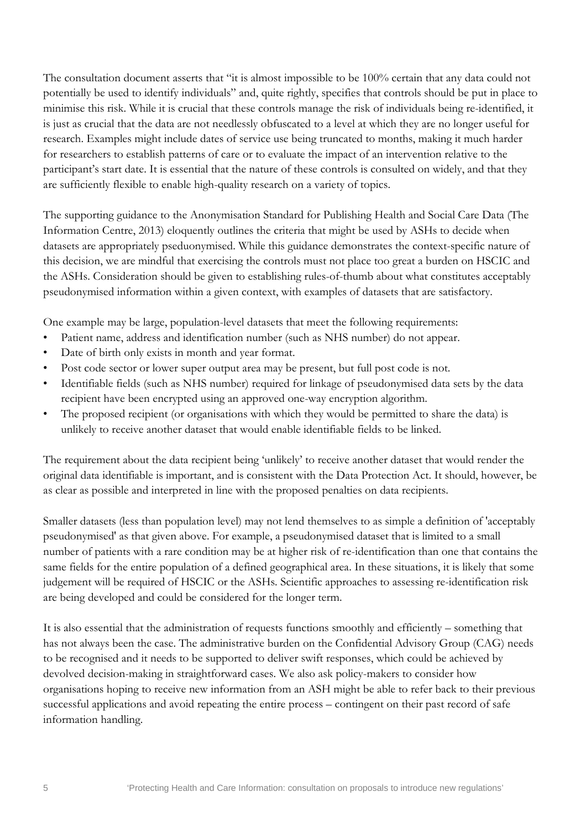The consultation document asserts that "it is almost impossible to be 100% certain that any data could not potentially be used to identify individuals" and, quite rightly, specifies that controls should be put in place to minimise this risk. While it is crucial that these controls manage the risk of individuals being re-identified, it is just as crucial that the data are not needlessly obfuscated to a level at which they are no longer useful for research. Examples might include dates of service use being truncated to months, making it much harder for researchers to establish patterns of care or to evaluate the impact of an intervention relative to the participant's start date. It is essential that the nature of these controls is consulted on widely, and that they are sufficiently flexible to enable high-quality research on a variety of topics.

The supporting guidance to the Anonymisation Standard for Publishing Health and Social Care Data (The Information Centre, 2013) eloquently outlines the criteria that might be used by ASHs to decide when datasets are appropriately pseduonymised. While this guidance demonstrates the context-specific nature of this decision, we are mindful that exercising the controls must not place too great a burden on HSCIC and the ASHs. Consideration should be given to establishing rules-of-thumb about what constitutes acceptably pseudonymised information within a given context, with examples of datasets that are satisfactory.

One example may be large, population-level datasets that meet the following requirements:

- Patient name, address and identification number (such as NHS number) do not appear.
- Date of birth only exists in month and year format.
- Post code sector or lower super output area may be present, but full post code is not.
- Identifiable fields (such as NHS number) required for linkage of pseudonymised data sets by the data recipient have been encrypted using an approved one-way encryption algorithm.
- The proposed recipient (or organisations with which they would be permitted to share the data) is unlikely to receive another dataset that would enable identifiable fields to be linked.

The requirement about the data recipient being 'unlikely' to receive another dataset that would render the original data identifiable is important, and is consistent with the Data Protection Act. It should, however, be as clear as possible and interpreted in line with the proposed penalties on data recipients.

Smaller datasets (less than population level) may not lend themselves to as simple a definition of 'acceptably pseudonymised' as that given above. For example, a pseudonymised dataset that is limited to a small number of patients with a rare condition may be at higher risk of re-identification than one that contains the same fields for the entire population of a defined geographical area. In these situations, it is likely that some judgement will be required of HSCIC or the ASHs. Scientific approaches to assessing re-identification risk are being developed and could be considered for the longer term.

It is also essential that the administration of requests functions smoothly and efficiently – something that has not always been the case. The administrative burden on the Confidential Advisory Group (CAG) needs to be recognised and it needs to be supported to deliver swift responses, which could be achieved by devolved decision-making in straightforward cases. We also ask policy-makers to consider how organisations hoping to receive new information from an ASH might be able to refer back to their previous successful applications and avoid repeating the entire process – contingent on their past record of safe information handling.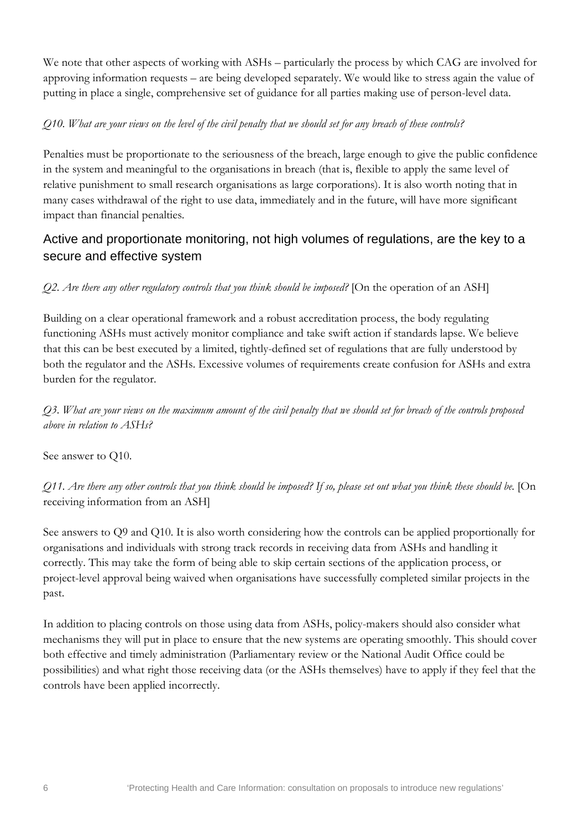We note that other aspects of working with ASHs – particularly the process by which CAG are involved for approving information requests – are being developed separately. We would like to stress again the value of putting in place a single, comprehensive set of guidance for all parties making use of person-level data.

#### *Q10. What are your views on the level of the civil penalty that we should set for any breach of these controls?*

Penalties must be proportionate to the seriousness of the breach, large enough to give the public confidence in the system and meaningful to the organisations in breach (that is, flexible to apply the same level of relative punishment to small research organisations as large corporations). It is also worth noting that in many cases withdrawal of the right to use data, immediately and in the future, will have more significant impact than financial penalties.

## Active and proportionate monitoring, not high volumes of regulations, are the key to a secure and effective system

#### *Q2. Are there any other regulatory controls that you think should be imposed?* [On the operation of an ASH]

Building on a clear operational framework and a robust accreditation process, the body regulating functioning ASHs must actively monitor compliance and take swift action if standards lapse. We believe that this can be best executed by a limited, tightly-defined set of regulations that are fully understood by both the regulator and the ASHs. Excessive volumes of requirements create confusion for ASHs and extra burden for the regulator.

*Q3. What are your views on the maximum amount of the civil penalty that we should set for breach of the controls proposed above in relation to ASHs?*

See answer to Q10.

*Q11. Are there any other controls that you think should be imposed? If so, please set out what you think these should be.* [On receiving information from an ASH]

See answers to Q9 and Q10. It is also worth considering how the controls can be applied proportionally for organisations and individuals with strong track records in receiving data from ASHs and handling it correctly. This may take the form of being able to skip certain sections of the application process, or project-level approval being waived when organisations have successfully completed similar projects in the past.

In addition to placing controls on those using data from ASHs, policy-makers should also consider what mechanisms they will put in place to ensure that the new systems are operating smoothly. This should cover both effective and timely administration (Parliamentary review or the National Audit Office could be possibilities) and what right those receiving data (or the ASHs themselves) have to apply if they feel that the controls have been applied incorrectly.